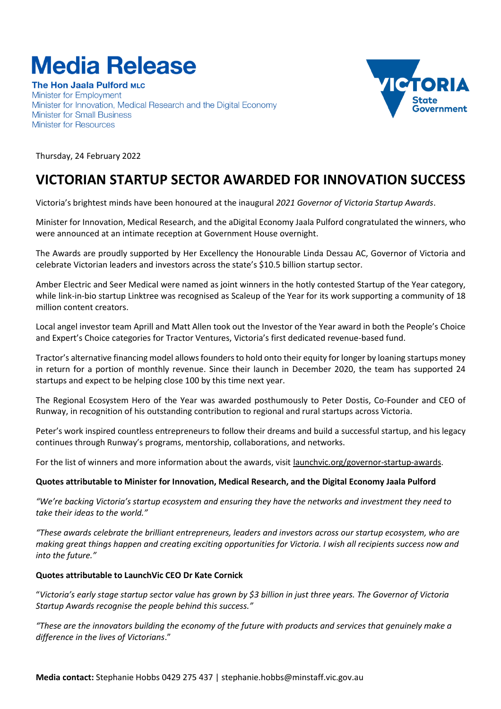## **Media Release**

**The Hon Jaala Pulford MLC Minister for Employment** Minister for Innovation, Medical Research and the Digital Economy **Minister for Small Business Minister for Resources** 



Thursday, 24 February 2022

## **VICTORIAN STARTUP SECTOR AWARDED FOR INNOVATION SUCCESS**

Victoria's brightest minds have been honoured at the inaugural *2021 Governor of Victoria Startup Awards*.

Minister for Innovation, Medical Research, and the aDigital Economy Jaala Pulford congratulated the winners, who were announced at an intimate reception at Government House overnight.

The Awards are proudly supported by Her Excellency the Honourable Linda Dessau AC, Governor of Victoria and celebrate Victorian leaders and investors across the state's \$10.5 billion startup sector.

Amber Electric and Seer Medical were named as joint winners in the hotly contested Startup of the Year category, while link-in-bio startup Linktree was recognised as Scaleup of the Year for its work supporting a community of 18 million content creators.

Local angel investor team Aprill and Matt Allen took out the Investor of the Year award in both the People's Choice and Expert's Choice categories for Tractor Ventures, Victoria's first dedicated revenue-based fund.

Tractor's alternative financing model allows founders to hold onto their equity for longer by loaning startups money in return for a portion of monthly revenue. Since their launch in December 2020, the team has supported 24 startups and expect to be helping close 100 by this time next year.

The Regional Ecosystem Hero of the Year was awarded posthumously to Peter Dostis, Co-Founder and CEO of Runway, in recognition of his outstanding contribution to regional and rural startups across Victoria.

Peter's work inspired countless entrepreneurs to follow their dreams and build a successful startup, and his legacy continues through Runway's programs, mentorship, collaborations, and networks.

For the list of winners and more information about the awards, visit <u>launchvic.org/governor-startup-awards</u>.

## **Quotes attributable to Minister for Innovation, Medical Research, and the Digital Economy Jaala Pulford**

*"We're backing Victoria's startup ecosystem and ensuring they have the networks and investment they need to take their ideas to the world."* 

*"These awards celebrate the brilliant entrepreneurs, leaders and investors across our startup ecosystem, who are making great things happen and creating exciting opportunities for Victoria. I wish all recipients success now and into the future."*

## **Quotes attributable to LaunchVic CEO Dr Kate Cornick**

"*Victoria's early stage startup sector value has grown by \$3 billion in just three years. The Governor of Victoria Startup Awards recognise the people behind this success."*

*"These are the innovators building the economy of the future with products and services that genuinely make a difference in the lives of Victorians*."